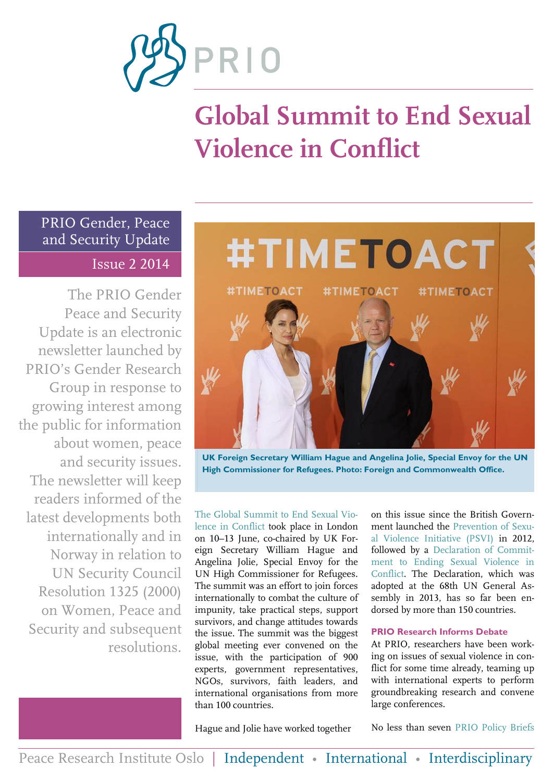

# **Global Summit to End Sexual Violence in Conflict**

### PRIO Gender, Peace and Security Update Issue 2 2014

The PRIO Gender Peace and Security Update is an electronic newsletter launched by PRIO's Gender Research Group in response to growing interest among the public for information about women, peace and security issues. The newsletter will keep readers informed of the latest developments both internationally and in Norway in relation to UN Security Council Resolution 1325 (2000) on Women, Peace and Security and subsequent resolutions.



**UK Foreign Secretary William Hague and Angelina Jolie, Special Envoy for the UN High Commissioner for Refugees. Photo: Foreign and Commonwealth Office.**

[The Global Summit to End Sexual Vio](https://www.gov.uk/government/topical-events/sexual-violence-in-conflict/about)[lence in Conflict](https://www.gov.uk/government/topical-events/sexual-violence-in-conflict/about) took place in London on 10–13 June, co-chaired by UK Foreign Secretary William Hague and Angelina Jolie, Special Envoy for the UN High Commissioner for Refugees. The summit was an effort to join forces internationally to combat the culture of impunity, take practical steps, support survivors, and change attitudes towards the issue. The summit was the biggest global meeting ever convened on the issue, with the participation of 900 experts, government representatives, NGOs, survivors, faith leaders, and international organisations from more than 100 countries.

on this issue since the British Government launched the [Prevention of Sexu](https://www.gov.uk/government/speeches/foreign-secretary-launches-new-government-initiative-to-prevent-sexual-violence-in-conflict)[al Violence Initiative \(PSVI\)](https://www.gov.uk/government/speeches/foreign-secretary-launches-new-government-initiative-to-prevent-sexual-violence-in-conflict) in 2012, followed by a [Declaration of Commit](https://www.gov.uk/government/uploads/system/uploads/attachment_data/file/274724/A_DECLARATION_OF_COMMITMENT_TO_END_SEXUAL_VIOLENCE_IN_CONFLICT.pdf)[ment to Ending Sexual Violence in](https://www.gov.uk/government/uploads/system/uploads/attachment_data/file/274724/A_DECLARATION_OF_COMMITMENT_TO_END_SEXUAL_VIOLENCE_IN_CONFLICT.pdf)  [Conflict.](https://www.gov.uk/government/uploads/system/uploads/attachment_data/file/274724/A_DECLARATION_OF_COMMITMENT_TO_END_SEXUAL_VIOLENCE_IN_CONFLICT.pdf) The Declaration, which was adopted at the 68th UN General Assembly in 2013, has so far been endorsed by more than 150 countries.

### **PRIO Research Informs Debate**

At PRIO, researchers have been working on issues of sexual violence in conflict for some time already, teaming up with international experts to perform groundbreaking research and convene large conferences.

Hague and Jolie have worked together

No less than seven [PRIO Policy Briefs](http://www.prio.org/News/Item/?x=1702)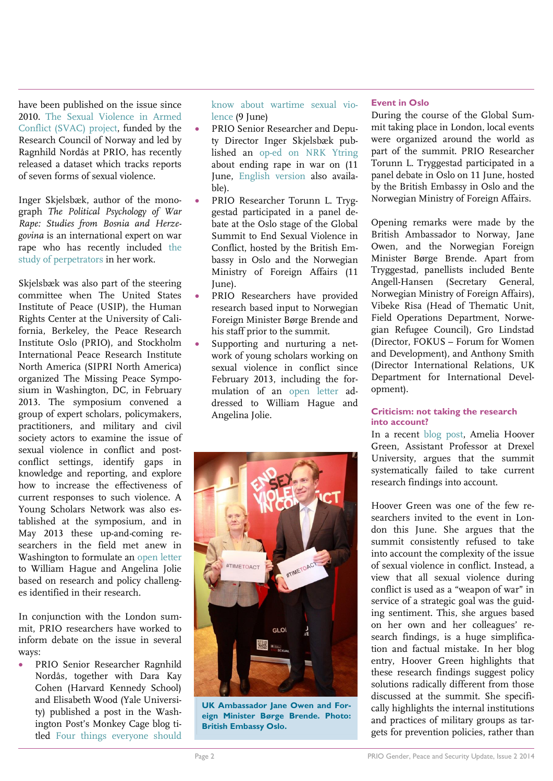have been published on the issue since 2010. [The Sexual Violence in Armed](http://www.prio.org/Projects/Project/?x=932)  [Conflict \(SVAC\) project,](http://www.prio.org/Projects/Project/?x=932) funded by the Research Council of Norway and led by Ragnhild Nordås at PRIO, has recently released a dataset which tracks reports of seven forms of sexual violence.

Inger Skjelsbæk, author of the monograph *The Political Psychology of War Rape: Studies from Bosnia and Herzegovina* is an international expert on war rape who has recently included [the](http://file.prio.no/publication_files/prio/Skjelsbaek-Preventing-Perpetrators-PRIO-Policy-Brief-03-2013.pdf)  [study of perpetrators](http://file.prio.no/publication_files/prio/Skjelsbaek-Preventing-Perpetrators-PRIO-Policy-Brief-03-2013.pdf) in her work.

Skjelsbæk was also part of the steering committee when The United States Institute of Peace (USIP), the Human Rights Center at the University of California, Berkeley, the Peace Research Institute Oslo (PRIO), and Stockholm International Peace Research Institute North America (SIPRI North America) organized The Missing Peace Symposium in Washington, DC, in February 2013. The symposium convened a group of expert scholars, policymakers, practitioners, and military and civil society actors to examine the issue of sexual violence in conflict and postconflict settings, identify gaps in knowledge and reporting, and explore how to increase the effectiveness of current responses to such violence. A Young Scholars Network was also established at the symposium, and in May 2013 these up-and-coming researchers in the field met anew in Washington to formulate an [open letter](http://www.usip.org/sites/default/files/files/UK-ESVC-Letter-20140609.pdf) to William Hague and Angelina Jolie based on research and policy challenges identified in their research.

In conjunction with the London summit, PRIO researchers have worked to inform debate on the issue in several ways:

 PRIO Senior Researcher Ragnhild Nordås, together with Dara Kay Cohen (Harvard Kennedy School) and Elisabeth Wood (Yale University) published a post in the Washington Post's Monkey Cage blog titled [Four things everyone should](http://www.washingtonpost.com/blogs/monkey-cage/wp/2014/06/09/four-things-everyone-should-know-about-wartime-sexual-violence/) 

[know about wartime sexual vio](http://www.washingtonpost.com/blogs/monkey-cage/wp/2014/06/09/four-things-everyone-should-know-about-wartime-sexual-violence/)[lence](http://www.washingtonpost.com/blogs/monkey-cage/wp/2014/06/09/four-things-everyone-should-know-about-wartime-sexual-violence/) (9 June)

- PRIO Senior Researcher and Deputy Director Inger Skjelsbæk published an [op-ed on NRK Ytring](http://www.nrk.no/ytring/mobilisering-mot-voldtekt-i-krig-1.11769738) about ending rape in war on (11 June, [English version](http://blogs.prio.org/2014/06/the-british-are-impatient-to-end-sexual-violence-in-conflict/) also available).
- PRIO Researcher Torunn L. Tryggestad participated in a panel debate at the Oslo stage of the Global Summit to End Sexual Violence in Conflict, hosted by the British Embassy in Oslo and the Norwegian Ministry of Foreign Affairs (11 June).
- PRIO Researchers have provided research based input to Norwegian Foreign Minister Børge Brende and his staff prior to the summit.
- Supporting and nurturing a network of young scholars working on sexual violence in conflict since February 2013, including the formulation of an [open letter](http://www.usip.org/sites/default/files/files/UK-ESVC-Letter-20140609.pdf) addressed to William Hague and Angelina Jolie.



**UK Ambassador Jane Owen and Foreign Minister Børge Brende. Photo: British Embassy Oslo.**

### **Event in Oslo**

During the course of the Global Summit taking place in London, local events were organized around the world as part of the summit. PRIO Researcher Torunn L. Tryggestad participated in a panel debate in Oslo on 11 June, hosted by the British Embassy in Oslo and the Norwegian Ministry of Foreign Affairs.

Opening remarks were made by the British Ambassador to Norway, Jane Owen, and the Norwegian Foreign Minister Børge Brende. Apart from Tryggestad, panellists included Bente Angell-Hansen (Secretary General, Norwegian Ministry of Foreign Affairs), Vibeke Risa (Head of Thematic Unit, Field Operations Department, Norwegian Refugee Council), Gro Lindstad (Director, FOKUS – Forum for Women and Development), and Anthony Smith (Director International Relations, UK Department for International Development).

### **Criticism: not taking the research into account?**

In a recent [blog post,](http://www.womenundersiegeproject.org/blog/entry/ignoring-the-evidence-at-the-global-summit-to-end-sexual-violence-in-confli#.U6B-Gp19PqY.facebook) Amelia Hoover Green, Assistant Professor at Drexel University, argues that the summit systematically failed to take current research findings into account.

Hoover Green was one of the few researchers invited to the event in London this June. She argues that the summit consistently refused to take into account the complexity of the issue of sexual violence in conflict. Instead, a view that all sexual violence during conflict is used as a "weapon of war" in service of a strategic goal was the guiding sentiment. This, she argues based on her own and her colleagues' research findings, is a huge simplification and factual mistake. In her blog entry, Hoover Green highlights that these research findings suggest policy solutions radically different from those discussed at the summit. She specifically highlights the internal institutions and practices of military groups as targets for prevention policies, rather than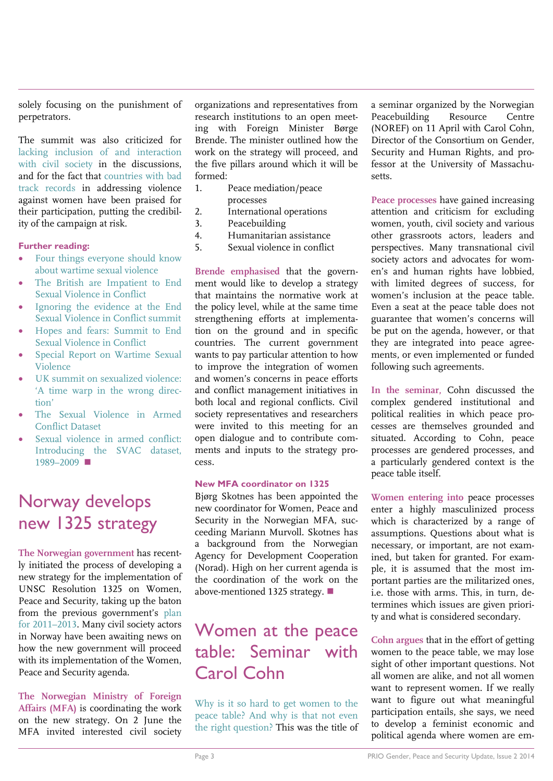solely focusing on the punishment of perpetrators.

The summit was also criticized for [lacking inclusion of and interaction](http://www.womenundersiegeproject.org/blog/entry/uk-summit-on-sexualized-violence-a-time-warp-in-the-wrong-direction)  [with civil society](http://www.womenundersiegeproject.org/blog/entry/uk-summit-on-sexualized-violence-a-time-warp-in-the-wrong-direction) in the discussions, and for the fact that [countries with bad](http://www.opendemocracy.net/5050/sanam-naraghi-anderlini/hopes-and-fears-summit-to-end-sexual-violence-in-conflict)  [track records](http://www.opendemocracy.net/5050/sanam-naraghi-anderlini/hopes-and-fears-summit-to-end-sexual-violence-in-conflict) in addressing violence against women have been praised for their participation, putting the credibility of the campaign at risk.

### **Further reading:**

- [Four things everyone should know](http://www.washingtonpost.com/blogs/monkey-cage/wp/2014/06/09/four-things-everyone-should-know-about-wartime-sexual-violence/)  [about wartime sexual violence](http://www.washingtonpost.com/blogs/monkey-cage/wp/2014/06/09/four-things-everyone-should-know-about-wartime-sexual-violence/)
- [The British are Impatient to End](http://blogs.prio.org/2014/06/the-british-are-impatient-to-end-sexual-violence-in-conflict/)  [Sexual Violence in Conflict](http://blogs.prio.org/2014/06/the-british-are-impatient-to-end-sexual-violence-in-conflict/)
- [Ignoring the evidence at the End](http://www.womenundersiegeproject.org/blog/entry/ignoring-the-evidence-at-the-global-summit-to-end-sexual-violence-in-confli#.U6B-Gp19PqY.facebook)  [Sexual Violence in Conflict summit](http://www.womenundersiegeproject.org/blog/entry/ignoring-the-evidence-at-the-global-summit-to-end-sexual-violence-in-confli#.U6B-Gp19PqY.facebook)
- [Hopes and fears: Summit to End](http://www.opendemocracy.net/5050/sanam-naraghi-anderlini/hopes-and-fears-summit-to-end-sexual-violence-in-conflict)  [Sexual Violence in Conflict](http://www.opendemocracy.net/5050/sanam-naraghi-anderlini/hopes-and-fears-summit-to-end-sexual-violence-in-conflict)
- [Special Report on Wartime Sexual](http://www.usip.org/sites/default/files/resources/SR323.pdf)  [Violence](http://www.usip.org/sites/default/files/resources/SR323.pdf)
- [UK summit on sexualized violence:](http://www.womenundersiegeproject.org/blog/entry/uk-summit-on-sexualized-violence-a-time-warp-in-the-wrong-direction)  ['A time warp in the wrong dire](http://www.womenundersiegeproject.org/blog/entry/uk-summit-on-sexualized-violence-a-time-warp-in-the-wrong-direction)c[tion'](http://www.womenundersiegeproject.org/blog/entry/uk-summit-on-sexualized-violence-a-time-warp-in-the-wrong-direction)
- [The Sexual Violence in Armed](http://www.sexualviolencedata.org/)  [Conflict Dataset](http://www.sexualviolencedata.org/)
- [Sexual violence in armed conflict:](http://jpr.sagepub.com/content/51/3/418.abstract)  [Introducing the SVAC dataset,](http://jpr.sagepub.com/content/51/3/418.abstract)  [1989](http://jpr.sagepub.com/content/51/3/418.abstract)–2009

## Norway develops new 1325 strategy

**The Norwegian government** has recently initiated the process of developing a new strategy for the implementation of UNSC Resolution 1325 on Women, Peace and Security, taking up the baton from the previous government's [plan](http://www.regjeringen.no/upload/UD/Vedlegg/FN/Kvinner_likestilling/sr1325_strategic_planE880E_web.pdf)  [for 2011](http://www.regjeringen.no/upload/UD/Vedlegg/FN/Kvinner_likestilling/sr1325_strategic_planE880E_web.pdf)–2013. Many civil society actors in Norway have been awaiting news on how the new government will proceed with its implementation of the Women, Peace and Security agenda.

**The Norwegian Ministry of Foreign Affairs (MFA)** is coordinating the work on the new strategy. On 2 June the MFA invited interested civil society organizations and representatives from research institutions to an open meeting with Foreign Minister Børge Brende. The minister outlined how the work on the strategy will proceed, and the five pillars around which it will be formed:

- 1. Peace mediation/peace processes
- 2. International operations
- 3. Peacebuilding
- 4. Humanitarian assistance
- 5. Sexual violence in conflict

**Brende emphasised** that the government would like to develop a strategy that maintains the normative work at the policy level, while at the same time strengthening efforts at implementation on the ground and in specific countries. The current government wants to pay particular attention to how to improve the integration of women and women's concerns in peace efforts and conflict management initiatives in both local and regional conflicts. Civil society representatives and researchers were invited to this meeting for an open dialogue and to contribute comments and inputs to the strategy process.

### **New MFA coordinator on 1325**

Bjørg Skotnes has been appointed the new coordinator for Women, Peace and Security in the Norwegian MFA, succeeding Mariann Murvoll. Skotnes has a background from the Norwegian Agency for Development Cooperation (Norad). High on her current agenda is the coordination of the work on the above-mentioned 1325 strategy.

### Women at the peace table: Seminar with Carol Cohn

[Why is it so hard to get women to the](http://www.peacebuilding.no/Events/Why-is-it-so-hard-to-get-women-to-the-peace-table-And-why-is-that-not-even-the-right-question)  [peace table? And why is that not even](http://www.peacebuilding.no/Events/Why-is-it-so-hard-to-get-women-to-the-peace-table-And-why-is-that-not-even-the-right-question)  [the right question?](http://www.peacebuilding.no/Events/Why-is-it-so-hard-to-get-women-to-the-peace-table-And-why-is-that-not-even-the-right-question) This was the title of a seminar organized by the Norwegian Peacebuilding Resource Centre (NOREF) on 11 April with Carol Cohn, Director of the Consortium on Gender, Security and Human Rights, and professor at the University of Massachusetts.

**Peace processes** have gained increasing attention and criticism for excluding women, youth, civil society and various other grassroots actors, leaders and perspectives. Many transnational civil society actors and advocates for women's and human rights have lobbied, with limited degrees of success, for women's inclusion at the peace table. Even a seat at the peace table does not guarantee that women's concerns will be put on the agenda, however, or that they are integrated into peace agreements, or even implemented or funded following such agreements.

**In the seminar,** Cohn discussed the complex gendered institutional and political realities in which peace processes are themselves grounded and situated. According to Cohn, peace processes are gendered processes, and a particularly gendered context is the peace table itself.

**Women entering into** peace processes enter a highly masculinized process which is characterized by a range of assumptions. Questions about what is necessary, or important, are not examined, but taken for granted. For example, it is assumed that the most important parties are the militarized ones, i.e. those with arms. This, in turn, determines which issues are given priority and what is considered secondary.

**Cohn argues** that in the effort of getting women to the peace table, we may lose sight of other important questions. Not all women are alike, and not all women want to represent women. If we really want to figure out what meaningful participation entails, she says, we need to develop a feminist economic and political agenda where women are em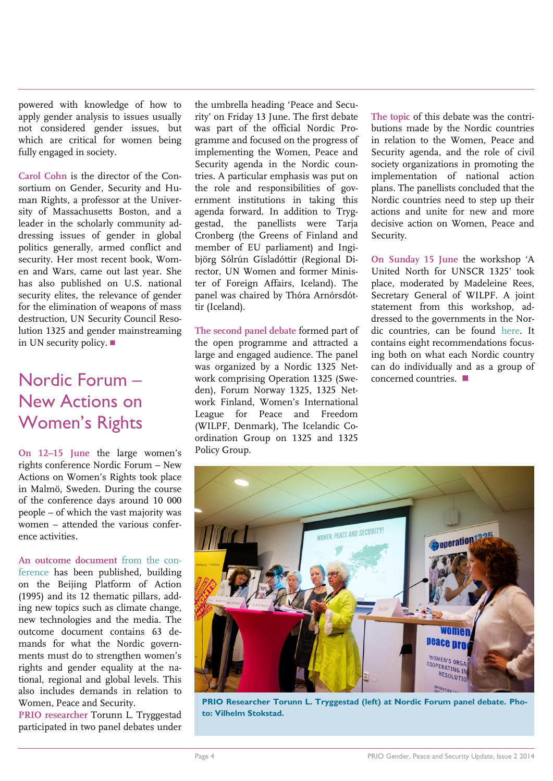powered with knowledge of how to apply gender analysis to issues usually not considered gender issues, but which are critical for women being fully engaged in society.

**Carol Cohn** is the director of the Consortium on Gender, Security and Human Rights, a professor at the University of Massachusetts Boston, and a leader in the scholarly community addressing issues of gender in global politics generally, armed conflict and security. Her most recent book, Women and Wars, came out last year. She has also published on U.S. national security elites, the relevance of gender for the elimination of weapons of mass destruction, UN Security Council Resolution 1325 and gender mainstreaming in UN security policy.  $\blacksquare$ 

## Nordic Forum – New Actions on Women's Rights

**On 12–15 June** the large women's rights conference Nordic Forum – New Actions on Women's Rights took place in Malmö, Sweden. During the course of the conference days around 10 000 people – of which the vast majority was women – attended the various conference activities.

**An [outcome document](http://nf2014.org/wp-content/uploads/2014/06/FEMINISTISKA-ÖVERENSKOMMELSER-OCH-KRAV_slutdokument.pdf)** from the con[ference](http://nf2014.org/wp-content/uploads/2014/06/FEMINISTISKA-ÖVERENSKOMMELSER-OCH-KRAV_slutdokument.pdf) has been published, building on the Beijing Platform of Action (1995) and its 12 thematic pillars, adding new topics such as climate change, new technologies and the media. The outcome document contains 63 demands for what the Nordic governments must do to strengthen women's rights and gender equality at the national, regional and global levels. This also includes demands in relation to Women, Peace and Security.

**PRIO researcher** Torunn L. Tryggestad participated in two panel debates under

the umbrella heading 'Peace and Security' on Friday 13 June. The first debate was part of the official Nordic Programme and focused on the progress of implementing the Women, Peace and Security agenda in the Nordic countries. A particular emphasis was put on the role and responsibilities of government institutions in taking this agenda forward. In addition to Tryggestad, the panellists were Tarja Cronberg (the Greens of Finland and member of EU parliament) and Ingibjörg Sólrún Gísladóttir (Regional Director, UN Women and former Minister of Foreign Affairs, Iceland). The panel was chaired by Thóra Arnórsdóttir (Iceland).

**The second panel debate** formed part of the open programme and attracted a large and engaged audience. The panel was organized by a Nordic 1325 Network comprising Operation 1325 (Sweden), Forum Norway 1325, 1325 Network Finland, Women's International League for Peace and Freedom (WILPF, Denmark), The Icelandic Coordination Group on 1325 and 1325 Policy Group.

**The topic** of this debate was the contributions made by the Nordic countries in relation to the Women, Peace and Security agenda, and the role of civil society organizations in promoting the implementation of national action plans. The panellists concluded that the Nordic countries need to step up their actions and unite for new and more decisive action on Women, Peace and Security.

**On Sunday 15 June** the workshop 'A United North for UNSCR 1325' took place, moderated by Madeleine Rees, Secretary General of WILPF. A joint statement from this workshop, addressed to the governments in the Nordic countries, can be found [here.](http://operation1325.se/sites/default/files/joint_statement_from_nordic_civil_society_actors_on_unscr_1325.pdf) It contains eight recommendations focusing both on what each Nordic country can do individually and as a group of concerned countries.



**PRIO Researcher Torunn L. Tryggestad (left) at Nordic Forum panel debate. Photo: Vilhelm Stokstad.**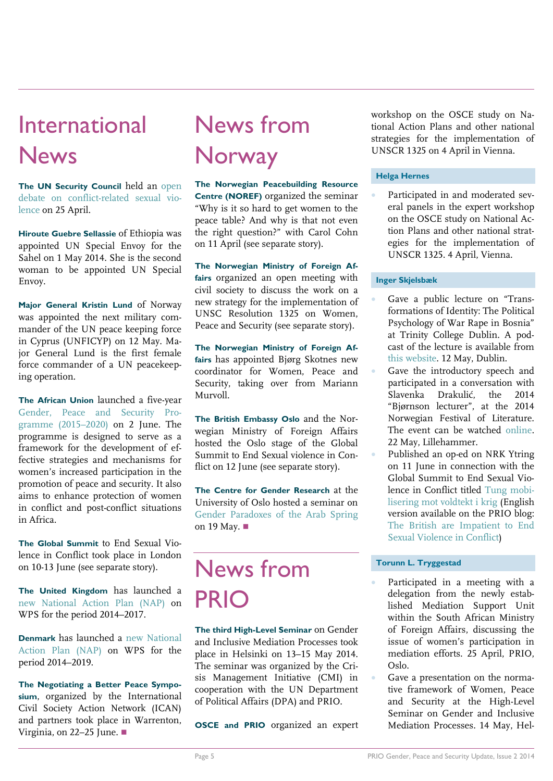# International News

**The UN Security Council** held an [open](http://www.whatsinblue.org/2014/04/open-debate-on-conflict-related-sexual-violence.php)  [debate on conflict-related sexual vio](http://www.whatsinblue.org/2014/04/open-debate-on-conflict-related-sexual-violence.php)[lence](http://www.whatsinblue.org/2014/04/open-debate-on-conflict-related-sexual-violence.php) on 25 April.

**Hiroute Guebre Sellassie** of Ethiopia was appointed UN Special Envoy for the Sahel on 1 May 2014. She is the second woman to be appointed UN Special Envoy.

**Major General Kristin Lund** of Norway was appointed the next military commander of the UN peace keeping force in Cyprus (UNFICYP) on 12 May. Major General Lund is the first female force commander of a UN peacekeeping operation.

**The African Union** launched a five-year [Gender, Peace and Security Pro](http://www.peaceau.org/uploads/pr.gpsp-2-06-2014.pdf)[gramme \(2015](http://www.peaceau.org/uploads/pr.gpsp-2-06-2014.pdf)–2020) on 2 June. The programme is designed to serve as a framework for the development of effective strategies and mechanisms for women's increased participation in the promotion of peace and security. It also aims to enhance protection of women in conflict and post-conflict situations in Africa.

**The Global Summit** to End Sexual Violence in Conflict took place in London on 10-13 June (see separate story).

**The United Kingdom** has launched a [new National Action Plan \(NAP\)](https://www.gov.uk/government/uploads/system/uploads/attachment_data/file/319870/FCO643_NAP_Printing_final3.pdf) on WPS for the period 2014–2017.

**Denmark** has launched a [new National](http://um.dk/da/~/media/UM/Danish-site/Images/UNSCR%201315%20National%20Action%20Plan%202014-2019.pdf)  [Action Plan \(NAP\)](http://um.dk/da/~/media/UM/Danish-site/Images/UNSCR%201315%20National%20Action%20Plan%202014-2019.pdf) on WPS for the period 2014–2019.

**The [Negotiating a Better Peace Sympo](https://www.cordaid.org/en/events/negotiating-better-peace-women-civil-society-table/)[sium](https://www.cordaid.org/en/events/negotiating-better-peace-women-civil-society-table/)**, organized by the International Civil Society Action Network (ICAN) and partners took place in Warrenton, Virginia, on 22–25 June.  $\Box$ 

# News from **Norway**

**The Norwegian Peacebuilding Resource Centre (NOREF)** organized the seminar "Why is it so hard to get women to the peace table? And why is that not even the right question?" with Carol Cohn on 11 April (see separate story).

**The Norwegian Ministry of Foreign Affairs** organized an open meeting with civil society to discuss the work on a new strategy for the implementation of UNSC Resolution 1325 on Women, Peace and Security (see separate story).

**The Norwegian Ministry of Foreign Affairs** has appointed Bjørg Skotnes new coordinator for Women, Peace and Security, taking over from Mariann Murvoll.

**The British Embassy Oslo** and the Norwegian Ministry of Foreign Affairs hosted the Oslo stage of the Global Summit to End Sexual violence in Conflict on 12 June (see separate story).

**The Centre for Gender Research** at the University of Oslo hosted a seminar on [Gender Paradoxes of the Arab Spring](http://www.stk.uio.no/english/research/news-and-events/events/guest-lectures-seminars/arab-spring.html) on 19 May. ■

# News from PRIO

**The third High-Level Seminar** on Gender and Inclusive Mediation Processes took place in Helsinki on 13–15 May 2014. The seminar was organized by the Crisis Management Initiative (CMI) in cooperation with the UN Department of Political Affairs (DPA) and PRIO.

**OSCE and PRIO** organized an expert

workshop on the OSCE study on National Action Plans and other national strategies for the implementation of UNSCR 1325 on 4 April in Vienna.

### **Helga Hernes**

 Participated in and moderated several panels in the expert workshop on the OSCE study on National Action Plans and other national strategies for the implementation of UNSCR 1325. 4 April, Vienna.

### **Inger Skjelsbæk**

- Gave a public lecture on "Transformations of Identity: The Political Psychology of War Rape in Bosnia" at Trinity College Dublin. A podcast of the lecture is available from [this website.](http://www.tcd.ie/trinitylongroomhub/events/details/2014-05-12transformations_of_identity.php) 12 May, Dublin.
- Gave the introductory speech and participated in a conversation with Slavenka Drakulić, the 2014 "Bjørnson lecturer", at the 2014 Norwegian Festival of Literature. The event can be watched [online.](http://hil.no/hil/om_hoegskolen/live_sending) 22 May, Lillehammer.
- Published an op-ed on NRK Ytring on 11 June in connection with the Global Summit to End Sexual Violence in Conflict titled [Tung mobi](http://www.nrk.no/ytring/mobilisering-mot-voldtekt-i-krig-1.11769738)[lisering mot voldtekt i krig](http://www.nrk.no/ytring/mobilisering-mot-voldtekt-i-krig-1.11769738) (English version available on the PRIO blog: [The British are Impatient to End](http://blogs.prio.org/2014/06/the-british-are-impatient-to-end-sexual-violence-in-conflict/)  [Sexual Violence in Conflict\)](http://blogs.prio.org/2014/06/the-british-are-impatient-to-end-sexual-violence-in-conflict/)

### **Torunn L. Tryggestad**

- Participated in a meeting with a delegation from the newly established Mediation Support Unit within the South African Ministry of Foreign Affairs, discussing the issue of women's participation in mediation efforts. 25 April, PRIO, Oslo.
- Gave a presentation on the normative framework of Women, Peace and Security at the High-Level Seminar on Gender and Inclusive Mediation Processes. 14 May, Hel-